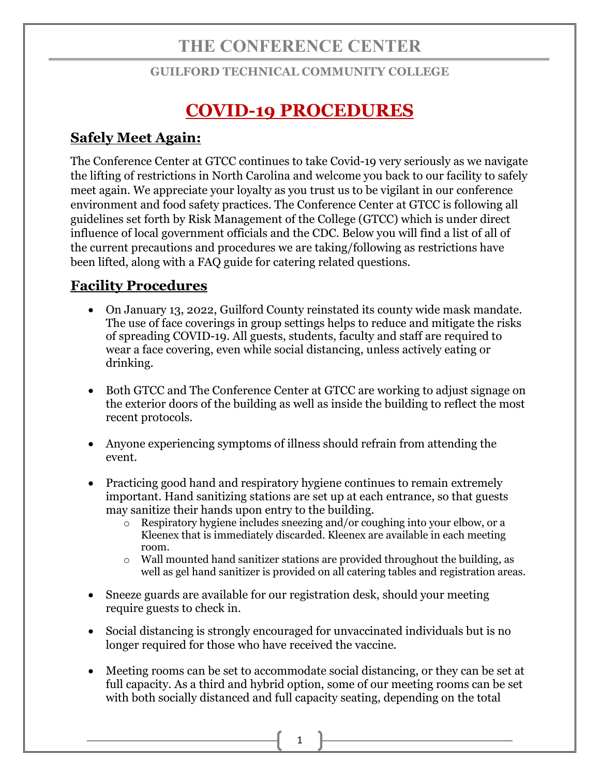## **THE CONFERENCE CENTER**

## **GUILFORD TECHNICAL COMMUNITY COLLEGE**

# **COVID-19 PROCEDURES**

## **Safely Meet Again:**

The Conference Center at GTCC continues to take Covid-19 very seriously as we navigate the lifting of restrictions in North Carolina and welcome you back to our facility to safely meet again. We appreciate your loyalty as you trust us to be vigilant in our conference environment and food safety practices. The Conference Center at GTCC is following all guidelines set forth by Risk Management of the College (GTCC) which is under direct influence of local government officials and the CDC. Below you will find a list of all of the current precautions and procedures we are taking/following as restrictions have been lifted, along with a FAQ guide for catering related questions.

## **Facility Procedures**

- On January 13, 2022, Guilford County reinstated its county wide mask mandate. The use of face coverings in group settings helps to reduce and mitigate the risks of spreading COVID-19. All guests, students, faculty and staff are required to wear a face covering, even while social distancing, unless actively eating or drinking.
- Both GTCC and The Conference Center at GTCC are working to adjust signage on the exterior doors of the building as well as inside the building to reflect the most recent protocols.
- Anyone experiencing symptoms of illness should refrain from attending the event.
- Practicing good hand and respiratory hygiene continues to remain extremely important. Hand sanitizing stations are set up at each entrance, so that guests may sanitize their hands upon entry to the building.
	- o Respiratory hygiene includes sneezing and/or coughing into your elbow, or a Kleenex that is immediately discarded. Kleenex are available in each meeting room.
	- $\circ$  Wall mounted hand sanitizer stations are provided throughout the building, as well as gel hand sanitizer is provided on all catering tables and registration areas.
- Sneeze guards are available for our registration desk, should your meeting require guests to check in.
- Social distancing is strongly encouraged for unvaccinated individuals but is no longer required for those who have received the vaccine.
- Meeting rooms can be set to accommodate social distancing, or they can be set at full capacity. As a third and hybrid option, some of our meeting rooms can be set with both socially distanced and full capacity seating, depending on the total

1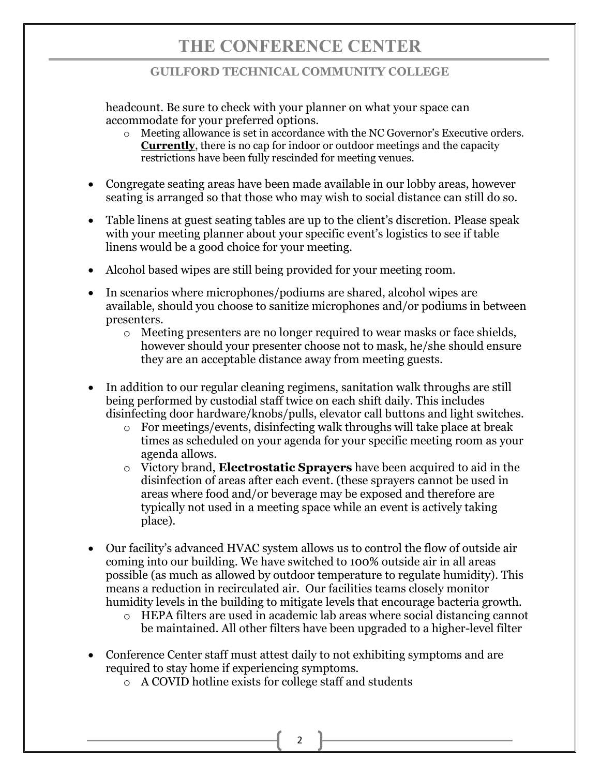## **GUILFORD TECHNICAL COMMUNITY COLLEGE**

headcount. Be sure to check with your planner on what your space can accommodate for your preferred options.

- o Meeting allowance is set in accordance with the NC Governor's Executive orders. **Currently**, there is no cap for indoor or outdoor meetings and the capacity restrictions have been fully rescinded for meeting venues.
- Congregate seating areas have been made available in our lobby areas, however seating is arranged so that those who may wish to social distance can still do so.
- Table linens at guest seating tables are up to the client's discretion. Please speak with your meeting planner about your specific event's logistics to see if table linens would be a good choice for your meeting.
- Alcohol based wipes are still being provided for your meeting room.
- In scenarios where microphones/podiums are shared, alcohol wipes are available, should you choose to sanitize microphones and/or podiums in between presenters.
	- o Meeting presenters are no longer required to wear masks or face shields, however should your presenter choose not to mask, he/she should ensure they are an acceptable distance away from meeting guests.
- In addition to our regular cleaning regimens, sanitation walk throughs are still being performed by custodial staff twice on each shift daily. This includes disinfecting door hardware/knobs/pulls, elevator call buttons and light switches.
	- o For meetings/events, disinfecting walk throughs will take place at break times as scheduled on your agenda for your specific meeting room as your agenda allows.
	- o Victory brand, **Electrostatic Sprayers** have been acquired to aid in the disinfection of areas after each event. (these sprayers cannot be used in areas where food and/or beverage may be exposed and therefore are typically not used in a meeting space while an event is actively taking place).
- Our facility's advanced HVAC system allows us to control the flow of outside air coming into our building. We have switched to 100% outside air in all areas possible (as much as allowed by outdoor temperature to regulate humidity). This means a reduction in recirculated air. Our facilities teams closely monitor humidity levels in the building to mitigate levels that encourage bacteria growth.
	- o HEPA filters are used in academic lab areas where social distancing cannot be maintained. All other filters have been upgraded to a higher-level filter
- Conference Center staff must attest daily to not exhibiting symptoms and are required to stay home if experiencing symptoms.
	- o A COVID hotline exists for college staff and students

2